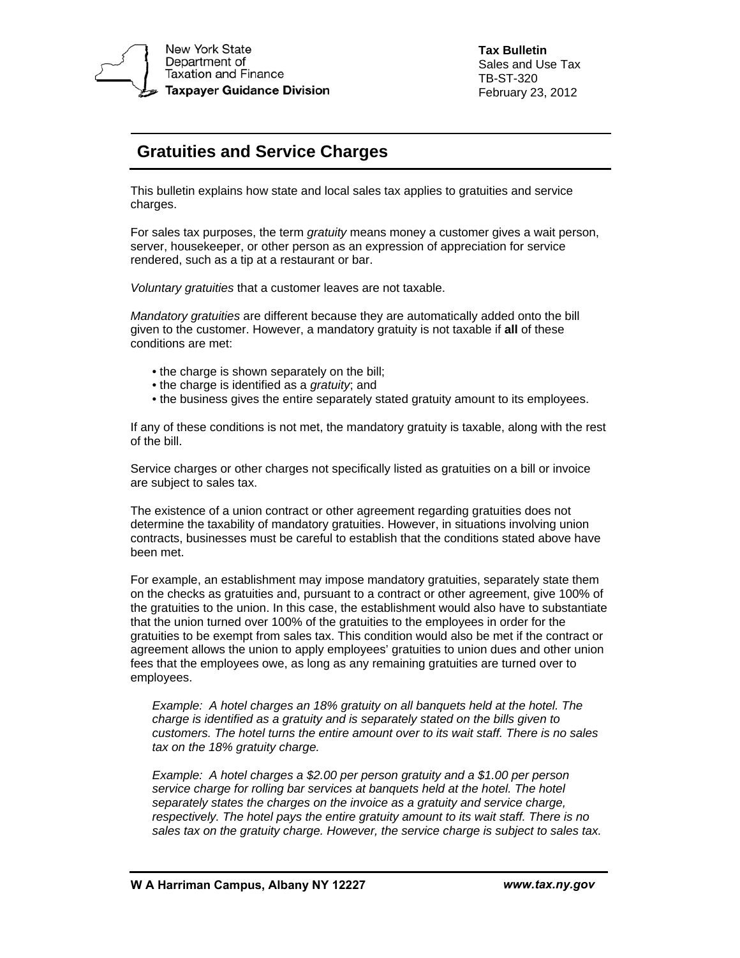

**Tax Bulletin**  Sales and Use Tax TB-ST-320 February 23, 2012

## **Gratuities and Service Charges**

This bulletin explains how state and local sales tax applies to gratuities and service charges.

For sales tax purposes, the term *gratuity* means money a customer gives a wait person, server, housekeeper, or other person as an expression of appreciation for service rendered, such as a tip at a restaurant or bar.

*Voluntary gratuities* that a customer leaves are not taxable.

*Mandatory gratuities* are different because they are automatically added onto the bill given to the customer. However, a mandatory gratuity is not taxable if **all** of these conditions are met:

- the charge is shown separately on the bill;
- the charge is identified as a *gratuity*; and
- the business gives the entire separately stated gratuity amount to its employees.

If any of these conditions is not met, the mandatory gratuity is taxable, along with the rest of the bill.

Service charges or other charges not specifically listed as gratuities on a bill or invoice are subject to sales tax.

The existence of a union contract or other agreement regarding gratuities does not determine the taxability of mandatory gratuities. However, in situations involving union contracts, businesses must be careful to establish that the conditions stated above have been met.

For example, an establishment may impose mandatory gratuities, separately state them on the checks as gratuities and, pursuant to a contract or other agreement, give 100% of the gratuities to the union. In this case, the establishment would also have to substantiate that the union turned over 100% of the gratuities to the employees in order for the gratuities to be exempt from sales tax. This condition would also be met if the contract or agreement allows the union to apply employees' gratuities to union dues and other union fees that the employees owe, as long as any remaining gratuities are turned over to employees.

*Example: A hotel charges an 18% gratuity on all banquets held at the hotel. The charge is identified as a gratuity and is separately stated on the bills given to customers. The hotel turns the entire amount over to its wait staff. There is no sales tax on the 18% gratuity charge.* 

*Example: A hotel charges a \$2.00 per person gratuity and a \$1.00 per person service charge for rolling bar services at banquets held at the hotel. The hotel separately states the charges on the invoice as a gratuity and service charge, respectively. The hotel pays the entire gratuity amount to its wait staff. There is no sales tax on the gratuity charge. However, the service charge is subject to sales tax.*